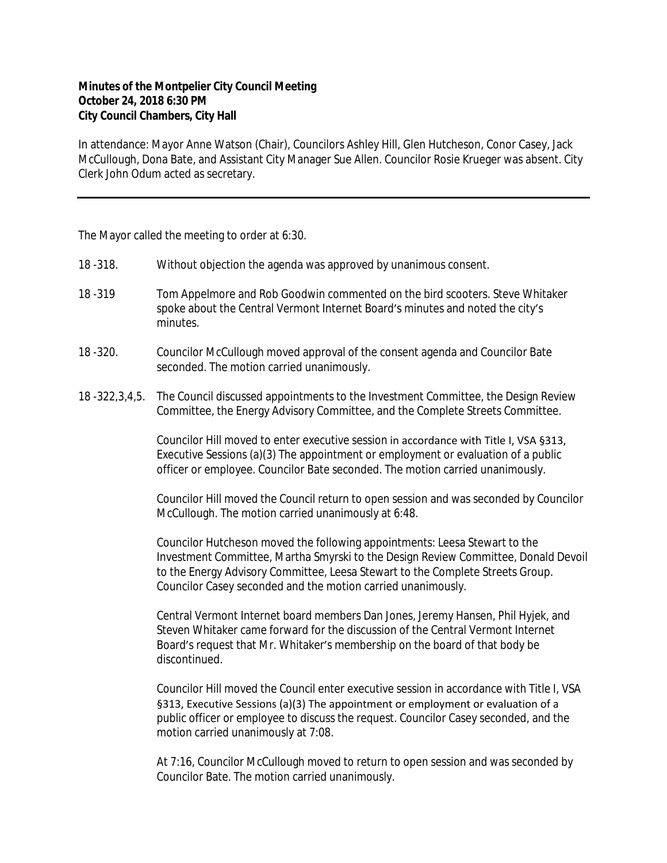## **Minutes of the Montpelier City Council Meeting October 24, 2018 6:30 PM City Council Chambers, City Hall**

In attendance: Mayor Anne Watson (Chair), Councilors Ashley Hill, Glen Hutcheson, Conor Casey, Jack McCullough, Dona Bate, and Assistant City Manager Sue Allen. Councilor Rosie Krueger was absent. City Clerk John Odum acted as secretary.

The Mayor called the meeting to order at 6:30.

- 18 -318. Without objection the agenda was approved by unanimous consent.
- 18 -319 Tom Appelmore and Rob Goodwin commented on the bird scooters. Steve Whitaker spoke about the Central Vermont Internet Board's minutes and noted the city's minutes.
- 18 -320. Councilor McCullough moved approval of the consent agenda and Councilor Bate seconded. The motion carried unanimously.
- 18 -322,3,4,5. The Council discussed appointments to the Investment Committee, the Design Review Committee, the Energy Advisory Committee, and the Complete Streets Committee.

Councilor Hill moved to enter executive session in accordance with Title I, VSA §313, Executive Sessions (a)(3) The appointment or employment or evaluation of a public officer or employee. Councilor Bate seconded. The motion carried unanimously.

Councilor Hill moved the Council return to open session and was seconded by Councilor McCullough. The motion carried unanimously at 6:48.

Councilor Hutcheson moved the following appointments: Leesa Stewart to the Investment Committee, Martha Smyrski to the Design Review Committee, Donald Devoil to the Energy Advisory Committee, Leesa Stewart to the Complete Streets Group. Councilor Casey seconded and the motion carried unanimously.

Central Vermont Internet board members Dan Jones, Jeremy Hansen, Phil Hyjek, and Steven Whitaker came forward for the discussion of the Central Vermont Internet Board's request that Mr. Whitaker's membership on the board of that body be discontinued.

Councilor Hill moved the Council enter executive session in accordance with Title I, VSA §313, Executive Sessions (a)(3) The appointment or employment or evaluation of a public officer or employee to discuss the request. Councilor Casey seconded, and the motion carried unanimously at 7:08.

At 7:16, Councilor McCullough moved to return to open session and was seconded by Councilor Bate. The motion carried unanimously.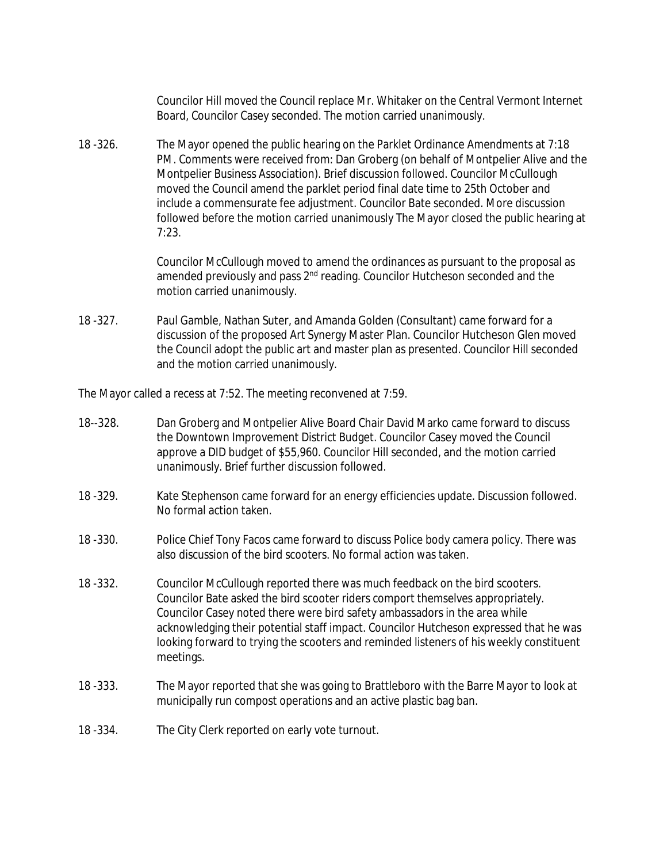Councilor Hill moved the Council replace Mr. Whitaker on the Central Vermont Internet Board, Councilor Casey seconded. The motion carried unanimously.

18 -326. The Mayor opened the public hearing on the Parklet Ordinance Amendments at 7:18 PM. Comments were received from: Dan Groberg (on behalf of Montpelier Alive and the Montpelier Business Association). Brief discussion followed. Councilor McCullough moved the Council amend the parklet period final date time to 25th October and include a commensurate fee adjustment. Councilor Bate seconded. More discussion followed before the motion carried unanimously The Mayor closed the public hearing at 7:23.

> Councilor McCullough moved to amend the ordinances as pursuant to the proposal as amended previously and pass 2<sup>nd</sup> reading. Councilor Hutcheson seconded and the motion carried unanimously.

18 -327. Paul Gamble, Nathan Suter, and Amanda Golden (Consultant) came forward for a discussion of the proposed Art Synergy Master Plan. Councilor Hutcheson Glen moved the Council adopt the public art and master plan as presented. Councilor Hill seconded and the motion carried unanimously.

The Mayor called a recess at 7:52. The meeting reconvened at 7:59.

- 18--328. Dan Groberg and Montpelier Alive Board Chair David Marko came forward to discuss the Downtown Improvement District Budget. Councilor Casey moved the Council approve a DID budget of \$55,960. Councilor Hill seconded, and the motion carried unanimously. Brief further discussion followed.
- 18 -329. Kate Stephenson came forward for an energy efficiencies update. Discussion followed. No formal action taken.
- 18 -330. Police Chief Tony Facos came forward to discuss Police body camera policy. There was also discussion of the bird scooters. No formal action was taken.
- 18 -332. Councilor McCullough reported there was much feedback on the bird scooters. Councilor Bate asked the bird scooter riders comport themselves appropriately. Councilor Casey noted there were bird safety ambassadors in the area while acknowledging their potential staff impact. Councilor Hutcheson expressed that he was looking forward to trying the scooters and reminded listeners of his weekly constituent meetings.
- 18 -333. The Mayor reported that she was going to Brattleboro with the Barre Mayor to look at municipally run compost operations and an active plastic bag ban.
- 18 -334. The City Clerk reported on early vote turnout.